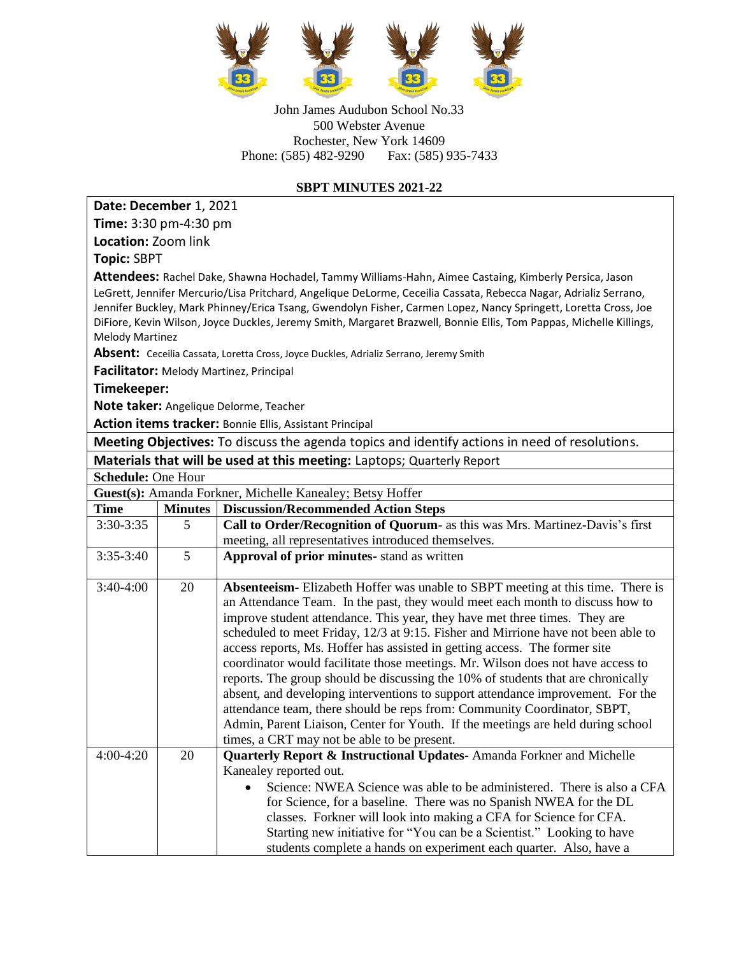

John James Audubon School No.33 500 Webster Avenue Rochester, New York 14609 Phone: (585) 482-9290 Fax: (585) 935-7433

## **SBPT MINUTES 2021-22**

| Date: December 1, 2021                                                                                              |                     |                                                                                                                                                             |  |  |  |
|---------------------------------------------------------------------------------------------------------------------|---------------------|-------------------------------------------------------------------------------------------------------------------------------------------------------------|--|--|--|
| Time: 3:30 pm-4:30 pm                                                                                               |                     |                                                                                                                                                             |  |  |  |
| Location: Zoom link                                                                                                 |                     |                                                                                                                                                             |  |  |  |
| <b>Topic: SBPT</b>                                                                                                  |                     |                                                                                                                                                             |  |  |  |
| Attendees: Rachel Dake, Shawna Hochadel, Tammy Williams-Hahn, Aimee Castaing, Kimberly Persica, Jason               |                     |                                                                                                                                                             |  |  |  |
|                                                                                                                     |                     | LeGrett, Jennifer Mercurio/Lisa Pritchard, Angelique DeLorme, Ceceilia Cassata, Rebecca Nagar, Adrializ Serrano,                                            |  |  |  |
| Jennifer Buckley, Mark Phinney/Erica Tsang, Gwendolyn Fisher, Carmen Lopez, Nancy Springett, Loretta Cross, Joe     |                     |                                                                                                                                                             |  |  |  |
| DiFiore, Kevin Wilson, Joyce Duckles, Jeremy Smith, Margaret Brazwell, Bonnie Ellis, Tom Pappas, Michelle Killings, |                     |                                                                                                                                                             |  |  |  |
| <b>Melody Martinez</b>                                                                                              |                     |                                                                                                                                                             |  |  |  |
| Absent: Ceceilia Cassata, Loretta Cross, Joyce Duckles, Adrializ Serrano, Jeremy Smith                              |                     |                                                                                                                                                             |  |  |  |
| <b>Facilitator:</b> Melody Martinez, Principal                                                                      |                     |                                                                                                                                                             |  |  |  |
| Timekeeper:                                                                                                         |                     |                                                                                                                                                             |  |  |  |
| Note taker: Angelique Delorme, Teacher                                                                              |                     |                                                                                                                                                             |  |  |  |
| Action items tracker: Bonnie Ellis, Assistant Principal                                                             |                     |                                                                                                                                                             |  |  |  |
| Meeting Objectives: To discuss the agenda topics and identify actions in need of resolutions.                       |                     |                                                                                                                                                             |  |  |  |
|                                                                                                                     |                     | Materials that will be used at this meeting: Laptops; Quarterly Report                                                                                      |  |  |  |
| Schedule: One Hour                                                                                                  |                     |                                                                                                                                                             |  |  |  |
| Guest(s): Amanda Forkner, Michelle Kanealey; Betsy Hoffer                                                           |                     |                                                                                                                                                             |  |  |  |
| <b>Time</b><br>3:30-3:35                                                                                            | <b>Minutes</b><br>5 | <b>Discussion/Recommended Action Steps</b><br>Call to Order/Recognition of Quorum- as this was Mrs. Martinez-Davis's first                                  |  |  |  |
|                                                                                                                     |                     | meeting, all representatives introduced themselves.                                                                                                         |  |  |  |
| $3:35-3:40$                                                                                                         | 5                   | Approval of prior minutes- stand as written                                                                                                                 |  |  |  |
|                                                                                                                     |                     |                                                                                                                                                             |  |  |  |
| 3:40-4:00                                                                                                           | 20                  | Absenteeism-Elizabeth Hoffer was unable to SBPT meeting at this time. There is                                                                              |  |  |  |
|                                                                                                                     |                     | an Attendance Team. In the past, they would meet each month to discuss how to                                                                               |  |  |  |
|                                                                                                                     |                     | improve student attendance. This year, they have met three times. They are                                                                                  |  |  |  |
|                                                                                                                     |                     | scheduled to meet Friday, 12/3 at 9:15. Fisher and Mirrione have not been able to                                                                           |  |  |  |
|                                                                                                                     |                     | access reports, Ms. Hoffer has assisted in getting access. The former site                                                                                  |  |  |  |
|                                                                                                                     |                     | coordinator would facilitate those meetings. Mr. Wilson does not have access to                                                                             |  |  |  |
|                                                                                                                     |                     | reports. The group should be discussing the 10% of students that are chronically                                                                            |  |  |  |
|                                                                                                                     |                     | absent, and developing interventions to support attendance improvement. For the                                                                             |  |  |  |
|                                                                                                                     |                     | attendance team, there should be reps from: Community Coordinator, SBPT,<br>Admin, Parent Liaison, Center for Youth. If the meetings are held during school |  |  |  |
|                                                                                                                     |                     | times, a CRT may not be able to be present.                                                                                                                 |  |  |  |
| 4:00-4:20                                                                                                           | 20                  | <b>Quarterly Report &amp; Instructional Updates-Amanda Forkner and Michelle</b>                                                                             |  |  |  |
|                                                                                                                     |                     | Kanealey reported out.                                                                                                                                      |  |  |  |
|                                                                                                                     |                     | Science: NWEA Science was able to be administered. There is also a CFA                                                                                      |  |  |  |
|                                                                                                                     |                     | for Science, for a baseline. There was no Spanish NWEA for the DL                                                                                           |  |  |  |
|                                                                                                                     |                     | classes. Forkner will look into making a CFA for Science for CFA.                                                                                           |  |  |  |
|                                                                                                                     |                     | Starting new initiative for "You can be a Scientist." Looking to have                                                                                       |  |  |  |
|                                                                                                                     |                     | students complete a hands on experiment each quarter. Also, have a                                                                                          |  |  |  |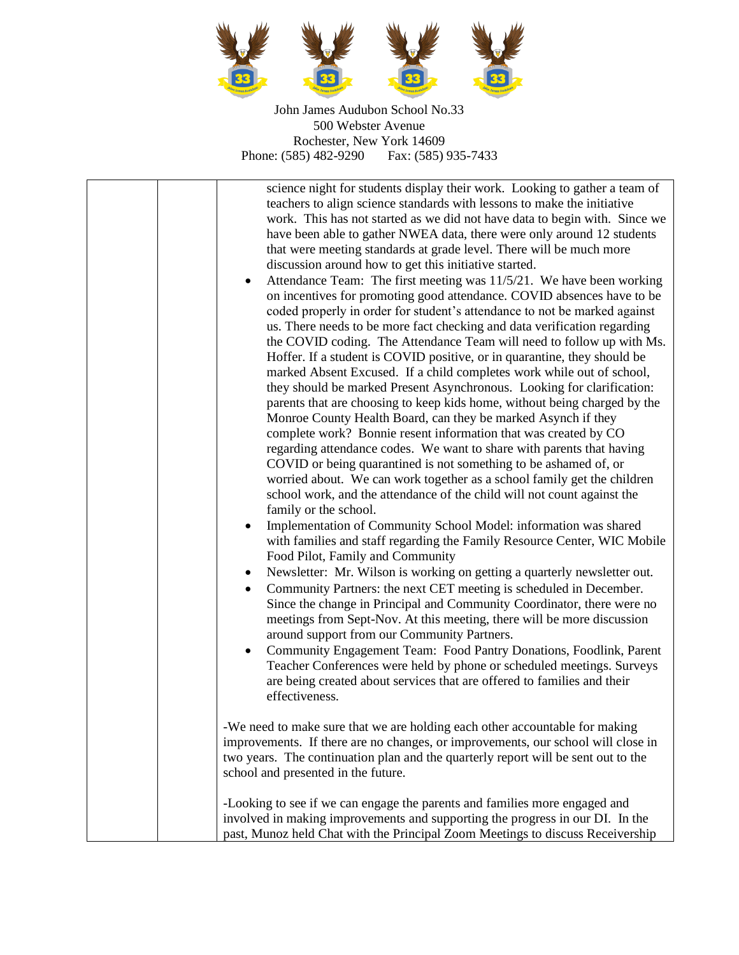

John James Audubon School No.33 500 Webster Avenue Rochester, New York 14609<br>
1859 482-9290 Fax: (585) 935-7433 Phone: (585) 482-9290

| science night for students display their work. Looking to gather a team of<br>teachers to align science standards with lessons to make the initiative<br>work. This has not started as we did not have data to begin with. Since we<br>have been able to gather NWEA data, there were only around 12 students<br>that were meeting standards at grade level. There will be much more<br>discussion around how to get this initiative started.<br>Attendance Team: The first meeting was 11/5/21. We have been working<br>٠<br>on incentives for promoting good attendance. COVID absences have to be<br>coded properly in order for student's attendance to not be marked against<br>us. There needs to be more fact checking and data verification regarding<br>the COVID coding. The Attendance Team will need to follow up with Ms.<br>Hoffer. If a student is COVID positive, or in quarantine, they should be<br>marked Absent Excused. If a child completes work while out of school,<br>they should be marked Present Asynchronous. Looking for clarification:<br>parents that are choosing to keep kids home, without being charged by the<br>Monroe County Health Board, can they be marked Asynch if they<br>complete work? Bonnie resent information that was created by CO<br>regarding attendance codes. We want to share with parents that having<br>COVID or being quarantined is not something to be ashamed of, or<br>worried about. We can work together as a school family get the children<br>school work, and the attendance of the child will not count against the<br>family or the school.<br>Implementation of Community School Model: information was shared<br>with families and staff regarding the Family Resource Center, WIC Mobile<br>Food Pilot, Family and Community<br>Newsletter: Mr. Wilson is working on getting a quarterly newsletter out.<br>$\bullet$<br>Community Partners: the next CET meeting is scheduled in December.<br>$\bullet$<br>Since the change in Principal and Community Coordinator, there were no<br>meetings from Sept-Nov. At this meeting, there will be more discussion<br>around support from our Community Partners.<br>Community Engagement Team: Food Pantry Donations, Foodlink, Parent<br>$\bullet$<br>Teacher Conferences were held by phone or scheduled meetings. Surveys<br>are being created about services that are offered to families and their<br>effectiveness. |
|------------------------------------------------------------------------------------------------------------------------------------------------------------------------------------------------------------------------------------------------------------------------------------------------------------------------------------------------------------------------------------------------------------------------------------------------------------------------------------------------------------------------------------------------------------------------------------------------------------------------------------------------------------------------------------------------------------------------------------------------------------------------------------------------------------------------------------------------------------------------------------------------------------------------------------------------------------------------------------------------------------------------------------------------------------------------------------------------------------------------------------------------------------------------------------------------------------------------------------------------------------------------------------------------------------------------------------------------------------------------------------------------------------------------------------------------------------------------------------------------------------------------------------------------------------------------------------------------------------------------------------------------------------------------------------------------------------------------------------------------------------------------------------------------------------------------------------------------------------------------------------------------------------------------------------------------------------------------------------------------------------------------------------------------------------------------------------------------------------------------------------------------------------------------------------------------------------------------------------------------------------------------------------------------------------------------------------------------------------------------------------------------------------------------------------------------|
| -We need to make sure that we are holding each other accountable for making<br>improvements. If there are no changes, or improvements, our school will close in<br>two years. The continuation plan and the quarterly report will be sent out to the<br>school and presented in the future.                                                                                                                                                                                                                                                                                                                                                                                                                                                                                                                                                                                                                                                                                                                                                                                                                                                                                                                                                                                                                                                                                                                                                                                                                                                                                                                                                                                                                                                                                                                                                                                                                                                                                                                                                                                                                                                                                                                                                                                                                                                                                                                                                    |
| -Looking to see if we can engage the parents and families more engaged and<br>involved in making improvements and supporting the progress in our DI. In the<br>past, Munoz held Chat with the Principal Zoom Meetings to discuss Receivership                                                                                                                                                                                                                                                                                                                                                                                                                                                                                                                                                                                                                                                                                                                                                                                                                                                                                                                                                                                                                                                                                                                                                                                                                                                                                                                                                                                                                                                                                                                                                                                                                                                                                                                                                                                                                                                                                                                                                                                                                                                                                                                                                                                                  |